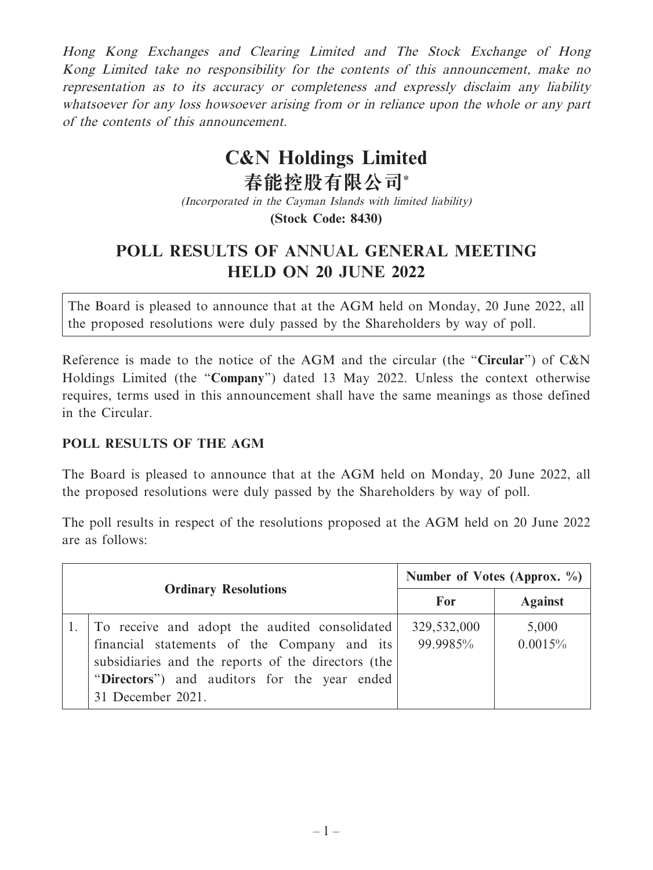Hong Kong Exchanges and Clearing Limited and The Stock Exchange of Hong Kong Limited take no responsibility for the contents of this announcement, make no representation as to its accuracy or completeness and expressly disclaim any liability whatsoever for any loss howsoever arising from or in reliance upon the whole or any part of the contents of this announcement.

## **C&N Holdings Limited**

**春能控股有限公司\*** (Incorporated in the Cayman Islands with limited liability) **(Stock Code: 8430)**

## **POLL RESULTS OF ANNUAL GENERAL MEETING HELD ON 20 JUNE 2022**

The Board is pleased to announce that at the AGM held on Monday, 20 June 2022, all the proposed resolutions were duly passed by the Shareholders by way of poll.

Reference is made to the notice of the AGM and the circular (the "**Circular**") of C&N Holdings Limited (the "**Company**") dated 13 May 2022. Unless the context otherwise requires, terms used in this announcement shall have the same meanings as those defined in the Circular.

## **POLL RESULTS OF THE AGM**

The Board is pleased to announce that at the AGM held on Monday, 20 June 2022, all the proposed resolutions were duly passed by the Shareholders by way of poll.

The poll results in respect of the resolutions proposed at the AGM held on 20 June 2022 are as follows:

| <b>Ordinary Resolutions</b> |                                                                                                                                                                                                                         | Number of Votes (Approx. $\%$ ) |                  |
|-----------------------------|-------------------------------------------------------------------------------------------------------------------------------------------------------------------------------------------------------------------------|---------------------------------|------------------|
|                             |                                                                                                                                                                                                                         | For                             | <b>Against</b>   |
|                             | To receive and adopt the audited consolidated<br>financial statements of the Company and its<br>subsidiaries and the reports of the directors (the<br>"Directors") and auditors for the year ended<br>31 December 2021. | 329,532,000<br>99.9985%         | 5,000<br>0.0015% |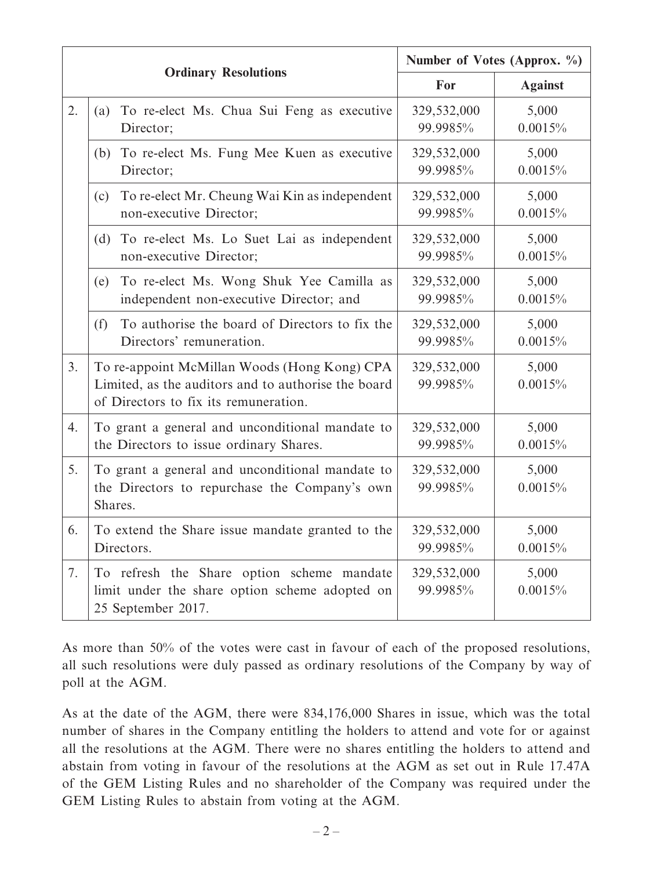|                  |                                                                                                                                              | Number of Votes (Approx. %) |                  |
|------------------|----------------------------------------------------------------------------------------------------------------------------------------------|-----------------------------|------------------|
|                  | <b>Ordinary Resolutions</b>                                                                                                                  | For                         | <b>Against</b>   |
| 2.               | To re-elect Ms. Chua Sui Feng as executive<br>(a)<br>Director;                                                                               | 329,532,000<br>99.9985%     | 5,000<br>0.0015% |
|                  | (b) To re-elect Ms. Fung Mee Kuen as executive<br>Director;                                                                                  | 329,532,000<br>99.9985%     | 5,000<br>0.0015% |
|                  | To re-elect Mr. Cheung Wai Kin as independent<br>(c)<br>non-executive Director;                                                              | 329,532,000<br>99.9985%     | 5,000<br>0.0015% |
|                  | (d)<br>To re-elect Ms. Lo Suet Lai as independent<br>non-executive Director;                                                                 | 329,532,000<br>99.9985%     | 5,000<br>0.0015% |
|                  | To re-elect Ms. Wong Shuk Yee Camilla as<br>(e)<br>independent non-executive Director; and                                                   | 329,532,000<br>99.9985%     | 5,000<br>0.0015% |
|                  | To authorise the board of Directors to fix the<br>(f)<br>Directors' remuneration.                                                            | 329,532,000<br>99.9985%     | 5,000<br>0.0015% |
| 3 <sub>1</sub>   | To re-appoint McMillan Woods (Hong Kong) CPA<br>Limited, as the auditors and to authorise the board<br>of Directors to fix its remuneration. | 329,532,000<br>99.9985%     | 5,000<br>0.0015% |
| $\overline{4}$ . | To grant a general and unconditional mandate to<br>the Directors to issue ordinary Shares.                                                   | 329,532,000<br>99.9985%     | 5,000<br>0.0015% |
| 5.               | To grant a general and unconditional mandate to<br>the Directors to repurchase the Company's own<br>Shares.                                  | 329,532,000<br>99.9985%     | 5,000<br>0.0015% |
| 6.               | To extend the Share issue mandate granted to the<br>Directors.                                                                               | 329,532,000<br>99.9985%     | 5,000<br>0.0015% |
| 7.               | To refresh the Share option scheme mandate<br>limit under the share option scheme adopted on<br>25 September 2017.                           | 329,532,000<br>99.9985%     | 5,000<br>0.0015% |

As more than 50% of the votes were cast in favour of each of the proposed resolutions, all such resolutions were duly passed as ordinary resolutions of the Company by way of poll at the AGM.

As at the date of the AGM, there were 834,176,000 Shares in issue, which was the total number of shares in the Company entitling the holders to attend and vote for or against all the resolutions at the AGM. There were no shares entitling the holders to attend and abstain from voting in favour of the resolutions at the AGM as set out in Rule 17.47A of the GEM Listing Rules and no shareholder of the Company was required under the GEM Listing Rules to abstain from voting at the AGM.